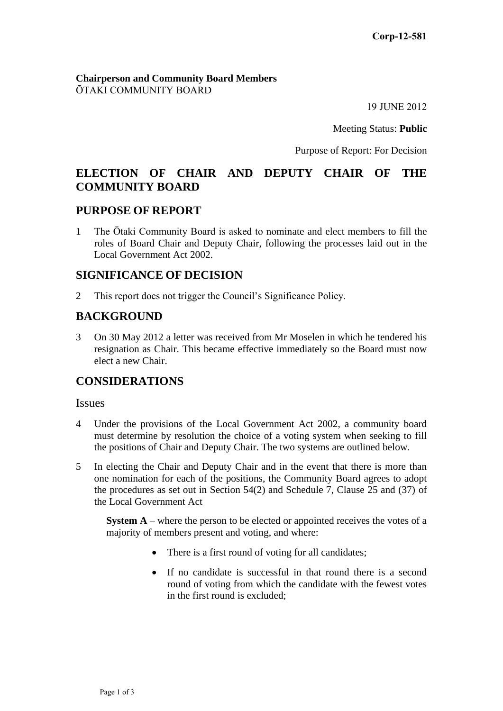#### **Chairperson and Community Board Members** ŌTAKI COMMUNITY BOARD

19 JUNE 2012

Meeting Status: **Public**

Purpose of Report: For Decision

# **ELECTION OF CHAIR AND DEPUTY CHAIR OF THE COMMUNITY BOARD**

### **PURPOSE OF REPORT**

1 The Ōtaki Community Board is asked to nominate and elect members to fill the roles of Board Chair and Deputy Chair, following the processes laid out in the Local Government Act 2002.

### **SIGNIFICANCE OF DECISION**

2 This report does not trigger the Council's Significance Policy.

## **BACKGROUND**

3 On 30 May 2012 a letter was received from Mr Moselen in which he tendered his resignation as Chair. This became effective immediately so the Board must now elect a new Chair.

## **CONSIDERATIONS**

#### Issues

- 4 Under the provisions of the Local Government Act 2002, a community board must determine by resolution the choice of a voting system when seeking to fill the positions of Chair and Deputy Chair. The two systems are outlined below.
- 5 In electing the Chair and Deputy Chair and in the event that there is more than one nomination for each of the positions, the Community Board agrees to adopt the procedures as set out in Section 54(2) and Schedule 7, Clause 25 and (37) of the Local Government Act

**System A** – where the person to be elected or appointed receives the votes of a majority of members present and voting, and where:

- There is a first round of voting for all candidates;
- If no candidate is successful in that round there is a second round of voting from which the candidate with the fewest votes in the first round is excluded;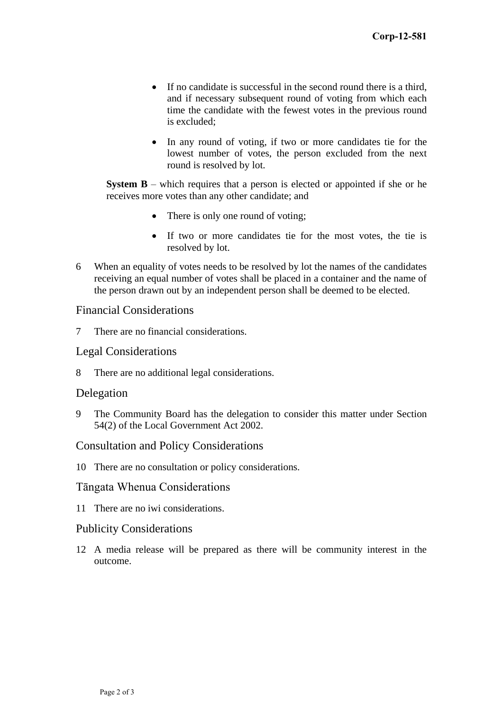- If no candidate is successful in the second round there is a third, and if necessary subsequent round of voting from which each time the candidate with the fewest votes in the previous round is excluded;
- In any round of voting, if two or more candidates tie for the lowest number of votes, the person excluded from the next round is resolved by lot.

**System B** – which requires that a person is elected or appointed if she or he receives more votes than any other candidate; and

- There is only one round of voting;
- If two or more candidates tie for the most votes, the tie is resolved by lot.
- 6 When an equality of votes needs to be resolved by lot the names of the candidates receiving an equal number of votes shall be placed in a container and the name of the person drawn out by an independent person shall be deemed to be elected.

### Financial Considerations

7 There are no financial considerations.

### Legal Considerations

8 There are no additional legal considerations.

### Delegation

9 The Community Board has the delegation to consider this matter under Section 54(2) of the Local Government Act 2002.

#### Consultation and Policy Considerations

10 There are no consultation or policy considerations.

#### Tāngata Whenua Considerations

11 There are no iwi considerations.

### Publicity Considerations

12 A media release will be prepared as there will be community interest in the outcome.